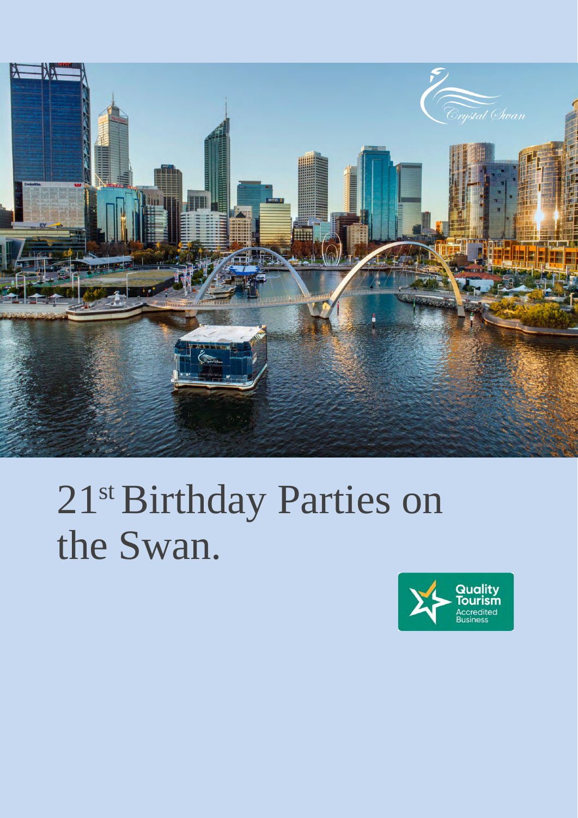

## 21st Birthday Parties on the Swan.

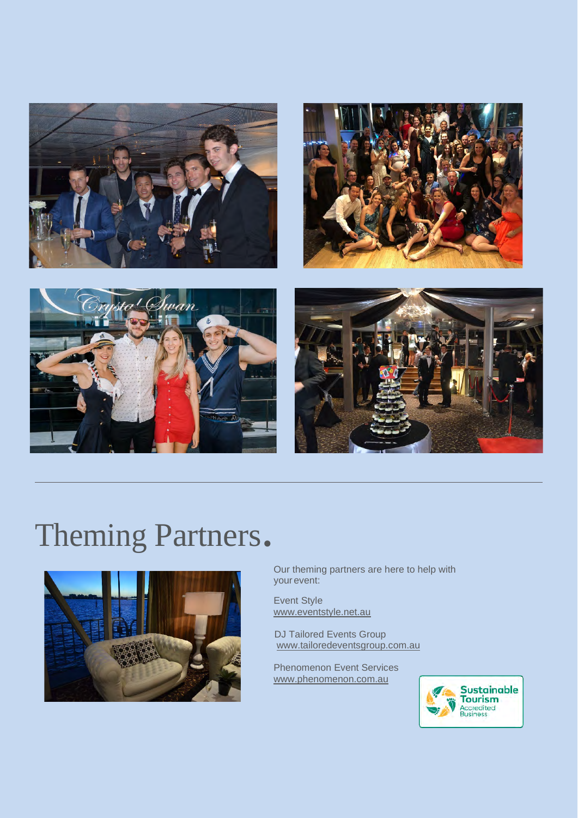







## Theming Partners.



Our theming partners are here to help with your event:

Event Style [www.eventstyle.net.au](http://www.eventstyle.net.au/)

 DJ Tailored Events Group [www.tailoredeventsgroup.com.au](http://www.tailoredeventsgroup.com.au/)

Phenomenon Event Services [www.phenomenon.com.au](http://www.phenomenon.com.au/)

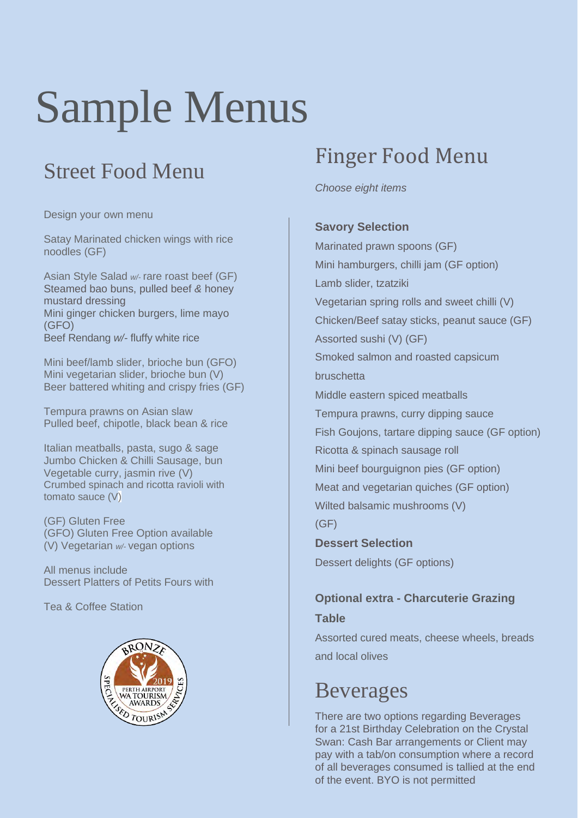## Sample Menus

### Street Food Menu

Design your own menu

Satay Marinated chicken wings with rice noodles (GF)

Asian Style Salad *w/-* rare roast beef (GF) Steamed bao buns, pulled beef *&* honey mustard dressing Mini ginger chicken burgers, lime mayo (GFO) Beef Rendang *w/-* fluffy white rice

Mini beef/lamb slider, brioche bun (GFO) Mini vegetarian slider, brioche bun (V) Beer battered whiting and crispy fries (GF)

Tempura prawns on Asian slaw Pulled beef, chipotle, black bean & rice

Italian meatballs, pasta, sugo & sage Jumbo Chicken & Chilli Sausage, bun Vegetable curry, jasmin rive (V) Crumbed spinach and ricotta ravioli with tomato sauce (V)

(GF) Gluten Free (GFO) Gluten Free Option available (V) Vegetarian *w/-* vegan options

All menus include Dessert Platters of Petits Fours with

Tea & Coffee Station



## Finger Food Menu

*Choose eight items*

#### **Savory Selection**

Marinated prawn spoons (GF) Mini hamburgers, chilli jam (GF option) Lamb slider, tzatziki Vegetarian spring rolls and sweet chilli (V) Chicken/Beef satay sticks, peanut sauce (GF) Assorted sushi (V) (GF) Smoked salmon and roasted capsicum bruschetta Middle eastern spiced meatballs Tempura prawns, curry dipping sauce Fish Goujons, tartare dipping sauce (GF option) Ricotta & spinach sausage roll Mini beef bourguignon pies (GF option) Meat and vegetarian quiches (GF option) Wilted balsamic mushrooms (V) (GF) **Dessert Selection**

Dessert delights (GF options)

#### **Optional extra - Charcuterie Grazing Table**

Assorted cured meats, cheese wheels, breads and local olives

### Beverages

There are two options regarding Beverages for a 21st Birthday Celebration on the Crystal Swan: Cash Bar arrangements or Client may pay with a tab/on consumption where a record of all beverages consumed is tallied at the end of the event. BYO is not permitted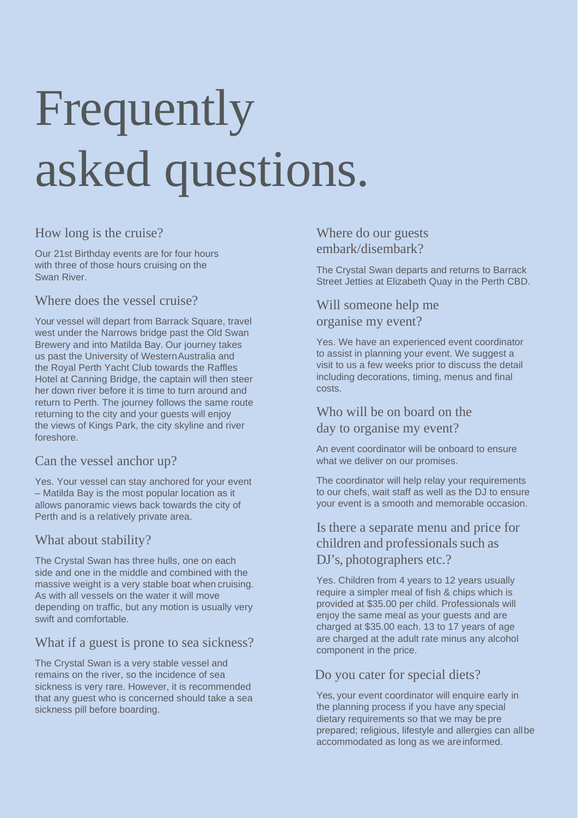# Frequently asked questions.

#### How long is the cruise?

Our 21st Birthday events are for four hours with three of those hours cruising on the Swan River.

#### Where does the vessel cruise?

Your vessel will depart from Barrack Square, travel west under the Narrows bridge past the Old Swan Brewery and into Matilda Bay. Our journey takes us past the University of WesternAustralia and the Royal Perth Yacht Club towards the Raffles Hotel at Canning Bridge, the captain will then steer her down river before it is time to turn around and return to Perth. The journey follows the same route returning to the city and your guests will enjoy the views of Kings Park, the city skyline and river foreshore.

#### Can the vessel anchor up?

Yes. Your vessel can stay anchored for your event – Matilda Bay is the most popular location as it allows panoramic views back towards the city of Perth and is a relatively private area.

#### What about stability?

The Crystal Swan has three hulls, one on each side and one in the middle and combined with the massive weight is a very stable boat when cruising. As with all vessels on the water it will move depending on traffic, but any motion is usually very swift and comfortable.

#### What if a guest is prone to sea sickness?

The Crystal Swan is a very stable vessel and remains on the river, so the incidence of sea sickness is very rare. However, it is recommended that any guest who is concerned should take a sea sickness pill before boarding.

Where do our guests embark/disembark?

The Crystal Swan departs and returns to Barrack Street Jetties at Elizabeth Quay in the Perth CBD.

#### Will someone help me organise my event?

Yes. We have an experienced event coordinator to assist in planning your event. We suggest a visit to us a few weeks prior to discuss the detail including decorations, timing, menus and final costs.

#### Who will be on board on the day to organise my event?

An event coordinator will be onboard to ensure what we deliver on our promises.

The coordinator will help relay your requirements to our chefs, wait staff as well as the DJ to ensure your event is a smooth and memorable occasion.

#### Is there a separate menu and price for children and professionals such as DJ's, photographers etc.?

Yes. Children from 4 years to 12 years usually require a simpler meal of fish & chips which is provided at \$35.00 per child. Professionals will enjoy the same meal as your guests and are charged at \$35.00 each. 13 to 17 years of age are charged at the adult rate minus any alcohol component in the price.

#### Do you cater for special diets?

Yes, your event coordinator will enquire early in the planning process if you have any special dietary requirements so that we may be pre prepared; religious, lifestyle and allergies can allbe accommodated as long as we areinformed.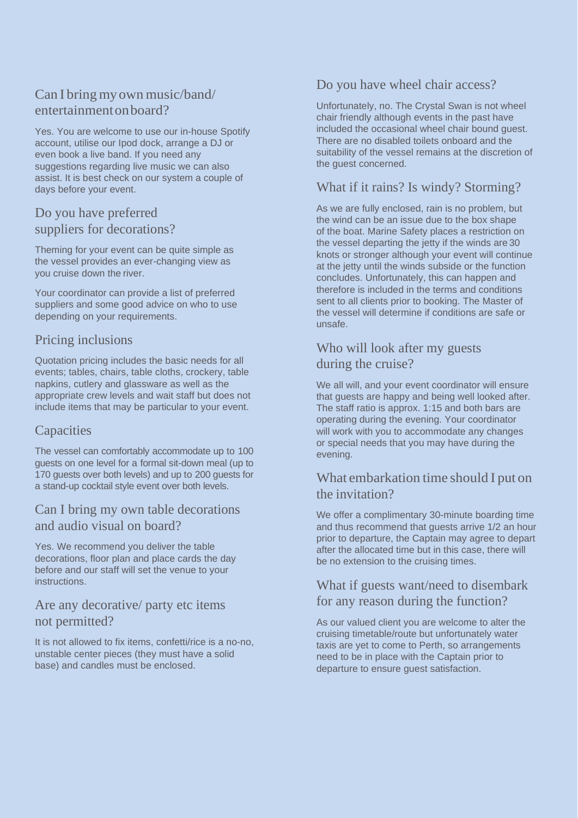### Can I bring my own music/band/ entertainmentonboard?

Yes. You are welcome to use our in-house Spotify account, utilise our Ipod dock, arrange a DJ or even book a live band. If you need any suggestions regarding live music we can also assist. It is best check on our system a couple of days before your event.

#### Do you have preferred suppliers for decorations?

Theming for your event can be quite simple as the vessel provides an ever-changing view as you cruise down the river.

Your coordinator can provide a list of preferred suppliers and some good advice on who to use depending on your requirements.

#### Pricing inclusions

Quotation pricing includes the basic needs for all events; tables, chairs, table cloths, crockery, table napkins, cutlery and glassware as well as the appropriate crew levels and wait staff but does not include items that may be particular to your event.

#### **Capacities**

The vessel can comfortably accommodate up to 100 guests on one level for a formal sit-down meal (up to 170 guests over both levels) and up to 200 guests for a stand-up cocktail style event over both levels.

#### Can I bring my own table decorations and audio visual on board?

Yes. We recommend you deliver the table decorations, floor plan and place cards the day before and our staff will set the venue to your instructions.

#### Are any decorative/ party etc items not permitted?

It is not allowed to fix items, confetti/rice is a no-no, unstable center pieces (they must have a solid base) and candles must be enclosed.

#### Do you have wheel chair access?

Unfortunately, no. The Crystal Swan is not wheel chair friendly although events in the past have included the occasional wheel chair bound guest. There are no disabled toilets onboard and the suitability of the vessel remains at the discretion of the guest concerned.

#### What if it rains? Is windy? Storming?

As we are fully enclosed, rain is no problem, but the wind can be an issue due to the box shape of the boat. Marine Safety places a restriction on the vessel departing the jetty if the winds are 30 knots or stronger although your event will continue at the jetty until the winds subside or the function concludes. Unfortunately, this can happen and therefore is included in the terms and conditions sent to all clients prior to booking. The Master of the vessel will determine if conditions are safe or unsafe.

#### Who will look after my guests during the cruise?

We all will, and your event coordinator will ensure that guests are happy and being well looked after. The staff ratio is approx. 1:15 and both bars are operating during the evening. Your coordinator will work with you to accommodate any changes or special needs that you may have during the evening.

#### What embarkation time should I put on the invitation?

We offer a complimentary 30-minute boarding time and thus recommend that guests arrive 1/2 an hour prior to departure, the Captain may agree to depart after the allocated time but in this case, there will be no extension to the cruising times.

#### What if guests want/need to disembark for any reason during the function?

As our valued client you are welcome to alter the cruising timetable/route but unfortunately water taxis are yet to come to Perth, so arrangements need to be in place with the Captain prior to departure to ensure guest satisfaction.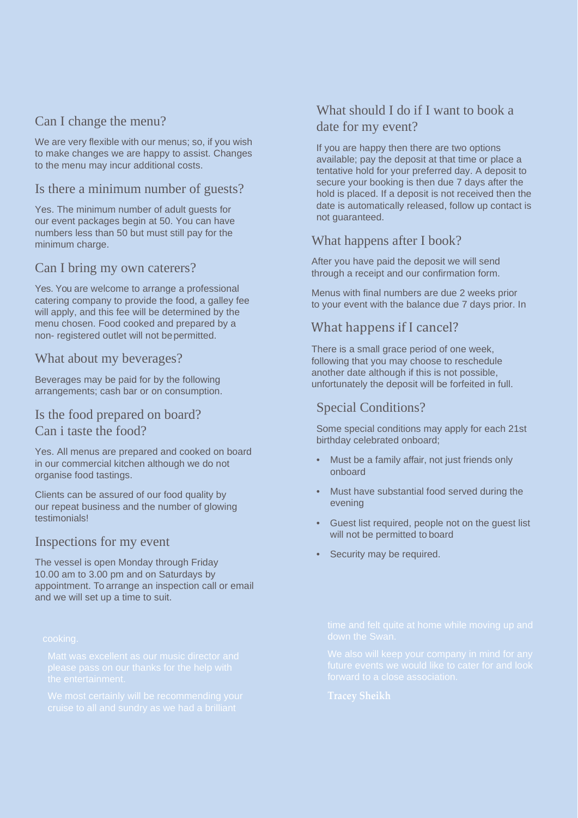#### Can I change the menu?

We are very flexible with our menus; so, if you wish to make changes we are happy to assist. Changes to the menu may incur additional costs.

#### Is there a minimum number of guests?

Yes. The minimum number of adult guests for our event packages begin at 50. You can have numbers less than 50 but must still pay for the minimum charge.

#### Can I bring my own caterers?

Yes. You are welcome to arrange a professional catering company to provide the food, a galley fee will apply, and this fee will be determined by the menu chosen. Food cooked and prepared by a non- registered outlet will not bepermitted.

#### What about my beverages?

Beverages may be paid for by the following arrangements; cash bar or on consumption.

#### Is the food prepared on board? Can i taste the food?

Yes. All menus are prepared and cooked on board in our commercial kitchen although we do not organise food tastings.

Clients can be assured of our food quality by our repeat business and the number of glowing testimonials!

#### Inspections for my event

The vessel is open Monday through Friday 10.00 am to 3.00 pm and on Saturdays by appointment. To arrange an inspection call or email and we will set up a time to suit.

#### What should I do if I want to book a date for my event?

If you are happy then there are two options available; pay the deposit at that time or place a tentative hold for your preferred day. A deposit to secure your booking is then due 7 days after the hold is placed. If a deposit is not received then the date is automatically released, follow up contact is not guaranteed.

#### What happens after I book?

After you have paid the deposit we will send through a receipt and our confirmation form.

Menus with final numbers are due 2 weeks prior to your event with the balance due 7 days prior. In

#### What happens if I cancel?

There is a small grace period of one week, following that you may choose to reschedule another date although if this is not possible, unfortunately the deposit will be forfeited in full.

#### Special Conditions?

Some special conditions may apply for each 21st birthday celebrated onboard;

- Must be a family affair, not just friends only onboard
- Must have substantial food served during the evening
- Guest list required, people not on the guest list will not be permitted to board
- Security may be required.